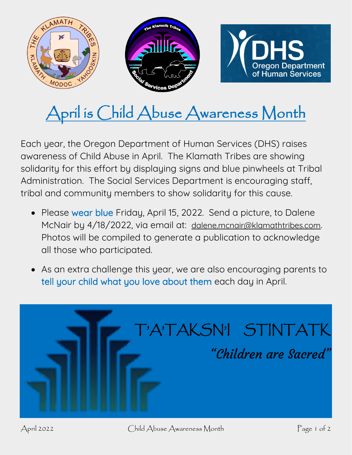

## April is Child Abuse Awareness Month

Each year, the Oregon Department of Human Services (DHS) raises awareness of Child Abuse in April. The Klamath Tribes are showing solidarity for this effort by displaying signs and blue pinwheels at Tribal Administration. The Social Services Department is encouraging staff, tribal and community members to show solidarity for this cause.

- Please wear blue Friday, April 15, 2022. Send a picture, to Dalene McNair by 4/18/2022, via email at: [dalene.mcnair@klamathtribes.com](mailto:dalene.mcnair@klamathtribes.com). Photos will be compiled to generate a publication to acknowledge all those who participated.
- As an extra challenge this year, we are also encouraging parents to tell your child what you love about them each day in April.